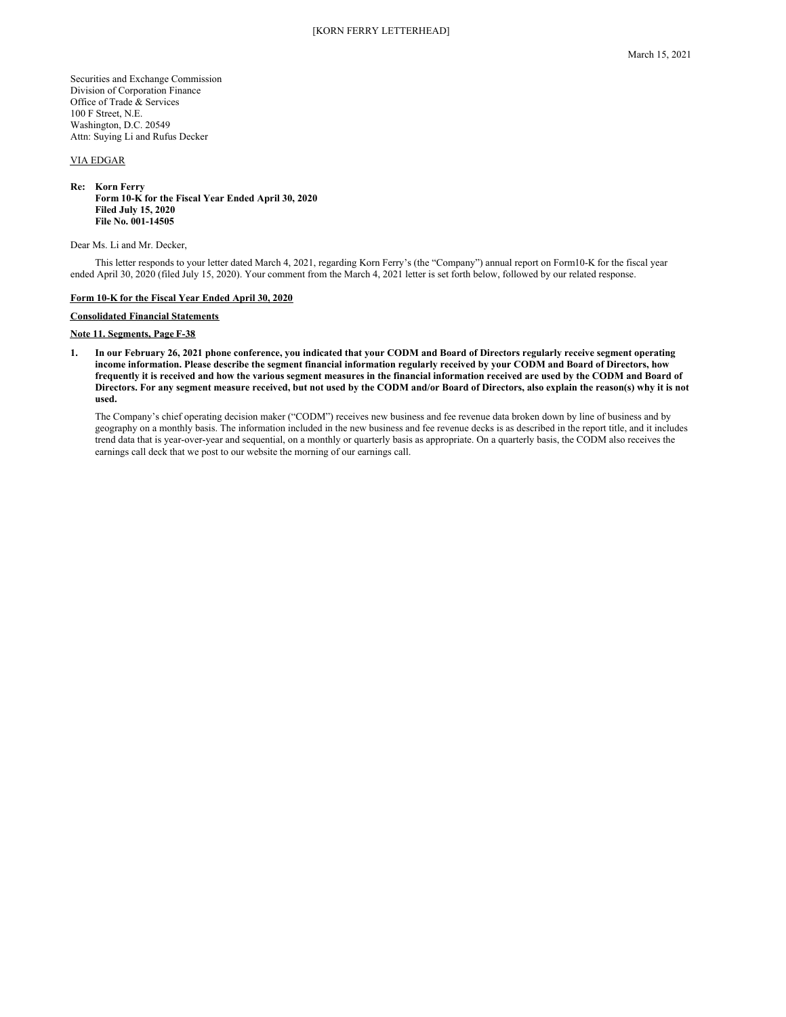Securities and Exchange Commission Division of Corporation Finance Office of Trade & Services 100 F Street, N.E. Washington, D.C. 20549 Attn: Suying Li and Rufus Decker

# VIA EDGAR

#### **Re: Korn Ferry Form 10-K for the Fiscal Year Ended April 30, 2020 Filed July 15, 2020 File No. 001-14505**

Dear Ms. Li and Mr. Decker,

This letter responds to your letter dated March 4, 2021, regarding Korn Ferry's (the "Company") annual report on Form10-K for the fiscal year ended April 30, 2020 (filed July 15, 2020). Your comment from the March 4, 2021 letter is set forth below, followed by our related response.

#### **Form 10-K for the Fiscal Year Ended April 30, 2020**

## **Consolidated Financial Statements**

### **Note 11. Segments, Page F-38**

1. In our February 26, 2021 phone conference, you indicated that your CODM and Board of Directors regularly receive segment operating income information. Please describe the segment financial information regularly received by your CODM and Board of Directors, how frequently it is received and how the various segment measures in the financial information received are used by the CODM and Board of Directors. For any segment measure received, but not used by the CODM and/or Board of Directors, also explain the reason(s) why it is not **used.**

The Company's chief operating decision maker ("CODM") receives new business and fee revenue data broken down by line of business and by geography on a monthly basis. The information included in the new business and fee revenue decks is as described in the report title, and it includes trend data that is year-over-year and sequential, on a monthly or quarterly basis as appropriate. On a quarterly basis, the CODM also receives the earnings call deck that we post to our website the morning of our earnings call.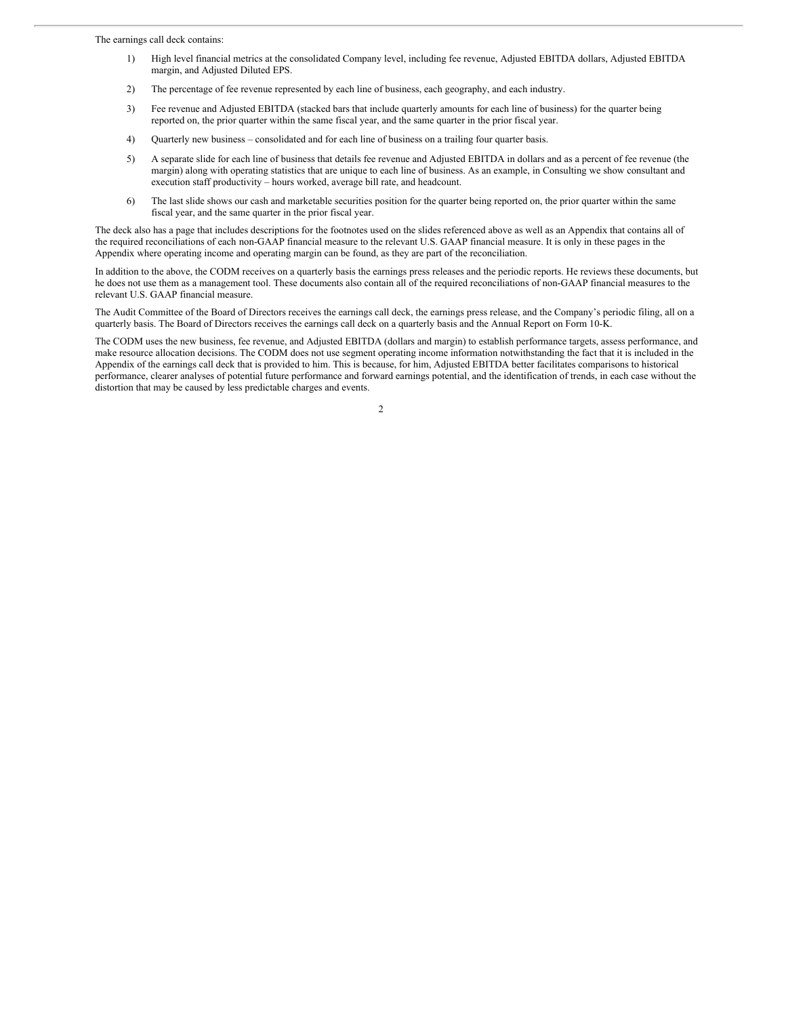The earnings call deck contains:

- 1) High level financial metrics at the consolidated Company level, including fee revenue, Adjusted EBITDA dollars, Adjusted EBITDA margin, and Adjusted Diluted EPS.
- 2) The percentage of fee revenue represented by each line of business, each geography, and each industry.
- 3) Fee revenue and Adjusted EBITDA (stacked bars that include quarterly amounts for each line of business) for the quarter being reported on, the prior quarter within the same fiscal year, and the same quarter in the prior fiscal year.
- 4) Quarterly new business consolidated and for each line of business on a trailing four quarter basis.
- 5) A separate slide for each line of business that details fee revenue and Adjusted EBITDA in dollars and as a percent of fee revenue (the margin) along with operating statistics that are unique to each line of business. As an example, in Consulting we show consultant and execution staff productivity – hours worked, average bill rate, and headcount.
- 6) The last slide shows our cash and marketable securities position for the quarter being reported on, the prior quarter within the same fiscal year, and the same quarter in the prior fiscal year.

The deck also has a page that includes descriptions for the footnotes used on the slides referenced above as well as an Appendix that contains all of the required reconciliations of each non-GAAP financial measure to the relevant U.S. GAAP financial measure. It is only in these pages in the Appendix where operating income and operating margin can be found, as they are part of the reconciliation.

In addition to the above, the CODM receives on a quarterly basis the earnings press releases and the periodic reports. He reviews these documents, but he does not use them as a management tool. These documents also contain all of the required reconciliations of non-GAAP financial measures to the relevant U.S. GAAP financial measure.

The Audit Committee of the Board of Directors receives the earnings call deck, the earnings press release, and the Company's periodic filing, all on a quarterly basis. The Board of Directors receives the earnings call deck on a quarterly basis and the Annual Report on Form 10-K.

The CODM uses the new business, fee revenue, and Adjusted EBITDA (dollars and margin) to establish performance targets, assess performance, and make resource allocation decisions. The CODM does not use segment operating income information notwithstanding the fact that it is included in the Appendix of the earnings call deck that is provided to him. This is because, for him, Adjusted EBITDA better facilitates comparisons to historical performance, clearer analyses of potential future performance and forward earnings potential, and the identification of trends, in each case without the distortion that may be caused by less predictable charges and events.

2